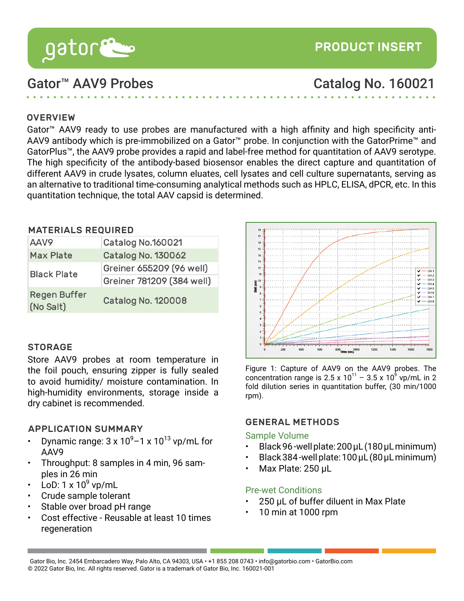# Gator™ AAV9 Probes Catalog No. 160021

[PRODUCT INSERT](http://www.gatorbio.com)

### **OVERVIEW**

Gator™ AAV9 ready to use probes are manufactured with a high affinity and high specificity anti-AAV9 antibody which is pre-immobilized on a Gator™ probe. In conjunction with the GatorPrime™ and GatorPlus™, the AAV9 probe provides a rapid and label-free method for quantitation of AAV9 serotype. The high specificity of the antibody-based biosensor enables the direct capture and quantitation of different AAV9 in crude lysates, column eluates, cell lysates and cell culture supernatants, serving as an alternative to traditional time-consuming analytical methods such as HPLC, ELISA, dPCR, etc. In this quantitation technique, the total AAV capsid is determined.

#### MATERIALS REQUIRED

| AAV9                             | Catalog No.160021         |  |  |
|----------------------------------|---------------------------|--|--|
| <b>Max Plate</b>                 | <b>Catalog No. 130062</b> |  |  |
| <b>Black Plate</b>               | Greiner 655209 (96 well)  |  |  |
|                                  | Greiner 781209 (384 well) |  |  |
| <b>Regen Buffer</b><br>(No Salt) | <b>Catalog No. 120008</b> |  |  |

## **STORAGE**

Store AAV9 probes at room temperature in the foil pouch, ensuring zipper is fully sealed to avoid humidity/ moisture contamination. In high-humidity environments, storage inside a dry cabinet is recommended.

### APPLICATION SUMMARY

- Dynamic range:  $3 \times 10^9$  1 x  $10^{13}$  vp/mL for AAV9
- Throughput: 8 samples in 4 min, 96 samples in 26 min
- LoD:  $1 \times 10^9$  vp/mL
- Crude sample tolerant
- Stable over broad pH range
- Cost effective Reusable at least 10 times regeneration



Figure 1: Capture of AAV9 on the AAV9 probes. The concentration range is 2.5 x 10<sup>11</sup> - 3.5 x 10<sup>9</sup> vp/mL in 2 fold dilution series in quantitation buffer, (30 min/1000 rpm).

### GENERAL METHODS

### Sample Volume

- Black 96 -well plate: 200 µL (180 µL minimum)
- Black 384 -well plate: 100 µL (80 µL minimum)
- Max Plate: 250 µL

### Pre-wet Conditions

- 250 µL of buffer diluent in Max Plate
- 10 min at 1000 rpm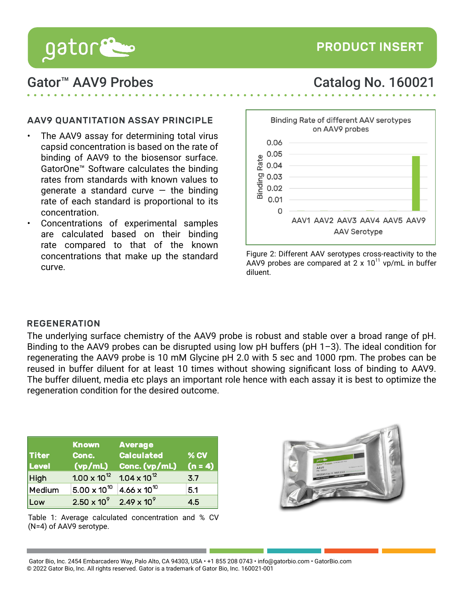

# Gator™ AAV9 Probes Catalog No. 160021

## AAV9 QUANTITATION ASSAY PRINCIPLE

- The AAV9 assay for determining total virus capsid concentration is based on the rate of binding of AAV9 to the biosensor surface. GatorOne™ Software calculates the binding rates from standards with known values to generate a standard curve  $-$  the binding rate of each standard is proportional to its concentration.
- Concentrations of experimental samples are calculated based on their binding rate compared to that of the known concentrations that make up the standard curve.



Figure 2: Different AAV serotypes cross-reactivity to the AAV9 probes are compared at  $2 \times 10^{11}$  vp/mL in buffer diluent.

#### REGENERATION

The underlying surface chemistry of the AAV9 probe is robust and stable over a broad range of pH. Binding to the AAV9 probes can be disrupted using low pH buffers (pH 1-3). The ideal condition for regenerating the AAV9 probe is 10 mM Glycine pH 2.0 with 5 sec and 1000 rpm. The probes can be reused in buffer diluent for at least 10 times without showing significant loss of binding to AAV9. The buffer diluent, media etc plays an important role hence with each assay it is best to optimize the regeneration condition for the desired outcome.

|              | <b>Known</b>          | <b>Average</b>        |           |
|--------------|-----------------------|-----------------------|-----------|
| <b>Titer</b> | Conc.                 | <b>Calculated</b>     | % CV      |
| Level        | (vp/mL)               | Conc. (vp/mL)         | $(n = 4)$ |
| <b>High</b>  | $1.00 \times 10^{12}$ | $1.04 \times 10^{12}$ | 3.7       |
| Medium       | $5.00 \times 10^{10}$ | $4.66 \times 10^{10}$ | 5.1       |
| Low          | $2.50 \times 10^{9}$  | $2.49 \times 10^{9}$  | 4.5       |

Table 1: Average calculated concentration and % CV (N=4) of AAV9 serotype.



Gator Bio, Inc. 2454 Embarcadero Way, Palo Alto, CA 94303, USA • +1 855 208 0743 • info@gatorbio.com • GatorBio.com © 2022 Gator Bio, Inc. All rights reserved. Gator is a trademark of Gator Bio, Inc. 160021-001